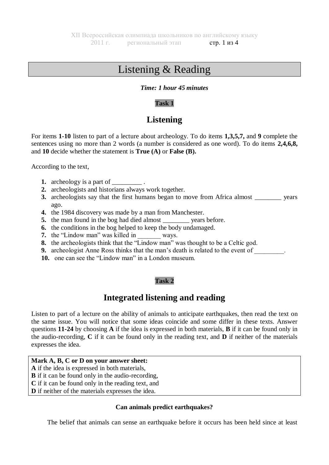# Listening & Reading

#### *Time: 1 hour 45 minutes*

# **Task 1**

# **Listening**

For items **1-10** listen to part of a lecture about archeology. To do items **1,3,5,7,** and **9** complete the sentences using no more than 2 words (a number is considered as one word). To do items **2,4,6,8,** and **10** decide whether the statement is **True (A)** or **False (B).**

According to the text,

- **1.** archeology is a part of .
- **2.** archeologists and historians always work together.
- **3.** archeologists say that the first humans began to move from Africa almost vears ago.
- **4.** the 1984 discovery was made by a man from Manchester.
- **5.** the man found in the bog had died almost vears before.
- **6.** the conditions in the bog helped to keep the body undamaged.
- **7.** the "Lindow man" was killed in ways.
- **8.** the archeologists think that the "Lindow man" was thought to be a Celtic god.
- **9.** archeologist Anne Ross thinks that the man's death is related to the event of  $\blacksquare$ .
- **10.** one can see the "Lindow man" in a London museum.

## **Task 2**

# **Integrated listening and reading**

Listen to part of a lecture on the ability of animals to anticipate earthquakes, then read the text on the same issue. You will notice that some ideas coincide and some differ in these texts. Answer questions **11-24** by choosing **A** if the idea is expressed in both materials, **B** if it can be found only in the audio-recording, **C** if it can be found only in the reading text, and **D** if neither of the materials expresses the idea.

## **Mark A, B, C or D on your answer sheet:**

- **A** if the idea is expressed in both materials,
- **B** if it can be found only in the audio-recording,
- **C** if it can be found only in the reading text, and
- **D** if neither of the materials expresses the idea.

## **Can animals predict earthquakes?**

The belief that animals can sense an earthquake before it occurs has been held since at least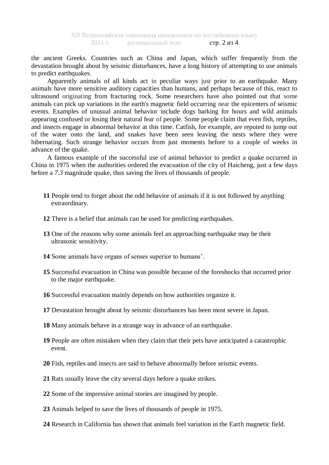the ancient Greeks. Countries such as China and Japan, which suffer frequently from the devastation brought about by seismic disturbances, have a long history of attempting to use animals to predict earthquakes.

Apparently animals of all kinds act in peculiar ways just prior to an earthquake. Many animals have more sensitive auditory capacities than humans, and perhaps because of this, react to ultrasound originating from fracturing rock. Some researchers have also pointed out that some animals can pick up variations in the earth's magnetic field occurring near the epicenters of seismic events. Examples of unusual animal behavior include dogs barking for hours and wild animals appearing confused or losing their natural fear of people. Some people claim that even fish, reptiles, and insects engage in abnormal behavior at this time. Catfish, for example, are reputed to jump out of the water onto the land, and snakes have been seen leaving the nests where they were hibernating. Such strange behavior occurs from just moments before to a couple of weeks in advance of the quake.

A famous example of the successful use of animal behavior to predict a quake occurred in China in 1975 when the authorities ordered the evacuation of the city of Haicheng, just a few days before a *7.3* magnitude quake, thus saving the lives of thousands of people.

- **11** People tend to forget about the odd behavior of animals if it is not followed by anything extraordinary.
- **12** There is a belief that animals can be used for predicting earthquakes.
- **13** One of the reasons why some animals feel an approaching earthquake may be their ultrasonic sensitivity.
- **14** Some animals have organs of senses superior to humans'.
- **15** Successful evacuation in China was possible because of the foreshocks that occurred prior to the major earthquake.
- **16** Successful evacuation mainly depends on how authorities organize it.
- **17** Devastation brought about by seismic disturbances has been most severe in Japan.
- **18** Many animals behave in a strange way in advance of an earthquake.
- **19** People are often mistaken when they claim that their pets have anticipated a catastrophic event.
- **20** Fish, reptiles and insects are said to behave abnormally before seismic events.
- **21** Rats usually leave the city several days before a quake strikes.
- **22** Some of the impressive animal stories are imagined by people.
- **23** Animals helped to save the lives of thousands of people in 1975.
- **24** Research in California has shown that animals feel variation in the Earth magnetic field.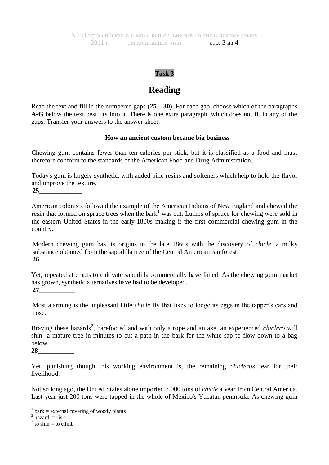#### **Task 3**

# **Reading**

Read the text and fill in the numbered gaps (**25 – 30)**. For each gap, choose which of the paragraphs **A-G** below the text best fits into it. There is one extra paragraph, which does not fit in any of the gaps. Transfer your answers to the answer sheet.

#### **How an ancient custom became big business**

Chewing gum contains fewer than ten calories per stick, but it is classified as a food and must therefore conform to the standards of the American Food and Drug Administration.

Today's gum is largely synthetic, with added pine resins and softeners which help to hold the flavor and improve the texture.

**25**\_\_\_\_\_\_\_\_\_\_\_\_\_

American colonists followed the example of the American Indians of New England and chewed the resin that formed on spruce trees when the bark<sup>1</sup> was cut. Lumps of spruce for chewing were sold in the eastern United States in the early 1800s making it the first commercial chewing gum in the country.

Modern chewing gum has its origins in the late 1860s with the discovery of *chicle,* a milky substance obtained from the sapodilla tree of the Central American rainforest. **26**\_\_\_\_\_\_\_\_\_\_\_\_

Yet, repeated attempts to cultivate sapodilla commercially have failed. As the chewing gum market has grown, synthetic alternatives have had to be developed. **27**\_\_\_\_\_\_\_\_\_\_\_

Most alarming is the unpleasant little *chicle* fly that likes to lodge its eggs in the tapper's ears and nose.

Braving these hazards<sup>2</sup>, barefooted and with only a rope and an axe, an experienced *chiclero* will  $\sin^3$  a mature tree in minutes to cut a path in the bark for the white sap to flow down to a bag below

**28**\_\_\_\_\_\_\_\_\_\_\_

Yet, punishing though this working environment is, the remaining *chicleros* fear for their livelihood.

Not so long ago, the United States alone imported 7,000 tons of *chicle* a year from Central America. Last year just 200 tons were tapped in the whole of Mexico's Yucatan peninsula. As chewing gum

 $\frac{1}{1}$  bark = external covering of woody plants

 $2$  hazard = risk

 $3$  to shin = to climb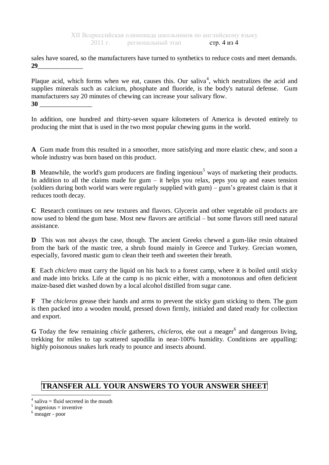sales have soared, so the manufacturers have turned to synthetics to reduce costs and meet demands. **29**\_\_\_\_\_\_\_\_\_\_\_\_\_\_

Plaque acid, which forms when we eat, causes this. Our saliva<sup>4</sup>, which neutralizes the acid and supplies minerals such as calcium, phosphate and fluoride, is the body's natural defense. Gum manufacturers say 20 minutes of chewing can increase your salivary flow. **30** \_\_\_\_\_\_\_\_\_\_\_\_\_\_\_\_

In addition, one hundred and thirty-seven square kilometers of America is devoted entirely to producing the mint that is used in the two most popular chewing gums in the world.

**A** Gum made from this resulted in a smoother, more satisfying and more elastic chew, and soon a whole industry was born based on this product.

**B** Meanwhile, the world's gum producers are finding ingenious<sup>5</sup> ways of marketing their products. In addition to all the claims made for gum – it helps you relax, peps you up and eases tension (soldiers during both world wars were regularly supplied with gum) – gum's greatest claim is that it reduces tooth decay.

**C** Research continues on new textures and flavors. Glycerin and other vegetable oil products are now used to blend the gum base. Most new flavors are artificial – but some flavors still need natural assistance.

**D** This was not always the case, though. The ancient Greeks chewed a gum-like resin obtained from the bark of the mastic tree, a shrub found mainly in Greece and Turkey. Grecian women, especially, favored mastic gum to clean their teeth and sweeten their breath.

**E** Each *chiclero* must carry the liquid on his back to a forest camp, where it is boiled until sticky and made into bricks. Life at the camp is no picnic either, with a monotonous and often deficient maize-based diet washed down by a local alcohol distilled from sugar cane.

**F** The *chicleros* grease their hands and arms to prevent the sticky gum sticking to them. The gum is then packed into a wooden mould, pressed down firmly, initialed and dated ready for collection and export.

**G** Today the few remaining *chicle* gatherers, *chicleros*, eke out a meager<sup>6</sup> and dangerous living, trekking for miles to tap scattered sapodilla in near-100% humidity. Conditions are appalling: highly poisonous snakes lurk ready to pounce and insects abound.

# **TRANSFER ALL YOUR ANSWERS TO YOUR ANSWER SHEET**

<sup>1</sup> 4 saliva  $=$  fluid secreted in the mouth

 $5$  ingenious = inventive

<sup>6</sup> meager - poor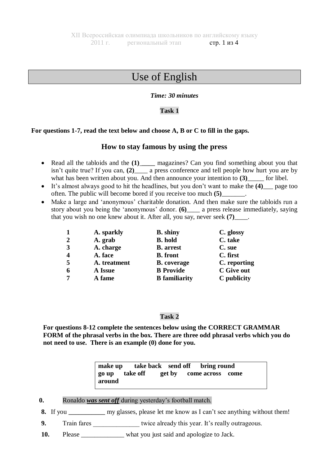# Use of English

## *Time: 30 minutes*

### **Task 1**

### **For questions 1-7, read the text below and choose A, B or C to fill in the gaps.**

# **How to stay famous by using the press**

- Read all the tabloids and the **(1)** magazines? Can you find something about you that isn't quite true? If you can, **(2)**\_\_\_\_ a press conference and tell people how hurt you are by what has been written about you. And then announce your intention to **(3)** [1] for libel.
- It's almost always good to hit the headlines, but you don't want to make the **(4)**\_\_\_ page too often. The public will become bored if you receive too much **(5)**\_\_\_\_\_\_\_.
- Make a large and 'anonymous' charitable donation. And then make sure the tabloids run a story about you being the 'anonymous' donor. **(6)**\_\_\_\_ a press release immediately, saying that you wish no one knew about it. After all, you say, never seek **(7)**\_\_\_\_.

| 1              | A. sparkly   | <b>B.</b> shiny      | C. glossy    |
|----------------|--------------|----------------------|--------------|
| $\overline{2}$ | A. grab      | <b>B.</b> hold       | C. take      |
| 3              | A. charge    | <b>B.</b> arrest     | C. sue       |
| 4              | A. face      | <b>B.</b> front      | C. first     |
| 5              | A. treatment | <b>B.</b> coverage   | C. reporting |
| 6              | A Issue      | <b>B</b> Provide     | C Give out   |
| 7              | A fame       | <b>B</b> familiarity | C publicity  |

### **Task 2**

**For questions 8-12 complete the sentences below using the CORRECT GRAMMAR FORM of the phrasal verbs in the box. There are three odd phrasal verbs which you do not need to use. There is an example (0) done for you.** 

|                |  | make up take back send off bring round |  |
|----------------|--|----------------------------------------|--|
| go up take off |  | get by come across come                |  |
| around         |  |                                        |  |

- **0.** Ronaldo *was sent off* during yesterday's football match.
- **8.** If you \_\_\_\_\_\_\_\_\_\_\_ my glasses, please let me know as I can't see anything without them!
- **9.** Train fares \_\_\_\_\_\_\_\_\_\_\_\_\_\_\_\_\_\_ twice already this year. It's really outrageous.
- **10.** Please what you just said and apologize to Jack.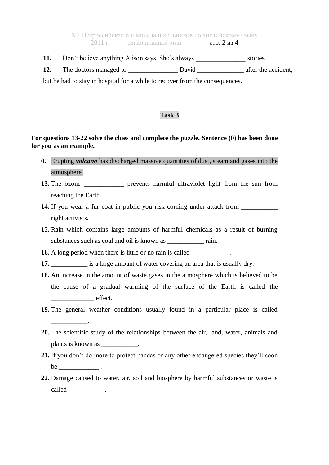XII Всероссийская олимпиада школьников по английскому языку 2011 г. региональный этап стр. 2 из 4

**11.** Don't believe anything Alison says. She's always \_\_\_\_\_\_\_\_\_\_\_\_\_\_\_\_\_\_ stories.

**12.** The doctors managed to David David after the accident,

but he had to stay in hospital for a while to recover from the consequences.

### **Task 3**

## **For questions 13-22 solve the clues and complete the puzzle. Sentence (0) has been done for you as an example.**

- **0.** Erupting *volcano* has discharged massive quantities of dust, steam and gases into the atmosphere.
- **13.** The ozone *prevents* harmful ultraviolet light from the sun from reaching the Earth.
- **14.** If you wear a fur coat in public you risk coming under attack from right activists.
- **15.** Rain which contains large amounts of harmful chemicals as a result of burning substances such as coal and oil is known as \_\_\_\_\_\_\_\_\_\_\_\_\_ rain.

**16.** A long period when there is little or no rain is called

\_\_\_\_\_\_\_\_\_\_\_.

- **17. i** is a large amount of water covering an area that is usually dry.
- **18.** An increase in the amount of waste gases in the atmosphere which is believed to be the cause of a gradual warming of the surface of the Earth is called the effect.
- **19.** The general weather conditions usually found in a particular place is called
- **20.** The scientific study of the relationships between the air, land, water, animals and plants is known as \_\_\_\_\_\_\_\_\_\_.
- **21.** If you don't do more to protect pandas or any other endangered species they'll soon  $be$
- **22.** Damage caused to water, air, soil and biosphere by harmful substances or waste is called \_\_\_\_\_\_\_\_\_\_.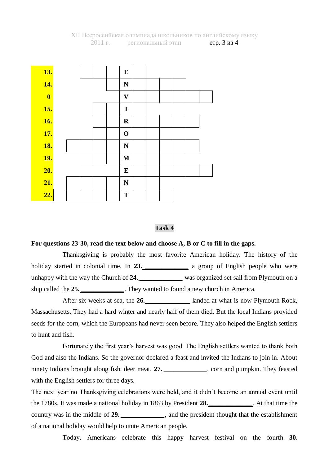

#### **Task 4**

#### **For questions 23-30, read the text below and choose A, B or C to fill in the gaps.**

Thanksgiving is probably the most favorite American holiday. The history of the holiday started in colonial time. In 23. *a* group of English people who were unhappy with the way the Church of 24. *z z z z z was organized set sail from Plymouth on a* ship called the **25.** *\_\_\_\_\_\_\_\_\_\_\_\_\_*. They wanted to found a new church in America.

After six weeks at sea, the **26.** *\_\_\_\_\_\_\_\_\_\_\_\_\_\_\_\_* landed at what is now Plymouth Rock, Massachusetts. They had a hard winter and nearly half of them died. But the local Indians provided seeds for the corn, which the Europeans had never seen before. They also helped the English settlers to hunt and fish.

Fortunately the first year's harvest was good. The English settlers wanted to thank both God and also the Indians. So the governor declared a feast and invited the Indians to join in. About ninety Indians brought along fish, deer meat, 27. Corn and pumpkin. They feasted with the English settlers for three days.

The next year no Thanksgiving celebrations were held, and it didn't become an annual event until the 1780s. It was made a national holiday in 1863 by President **28.** *\_\_\_\_\_\_\_\_\_\_\_\_\_*. At that time the country was in the middle of **29.** *\_\_\_\_\_\_\_\_\_\_\_*, and the president thought that the establishment of a national holiday would help to unite American people.

Today, Americans celebrate this happy harvest festival on the fourth **30.**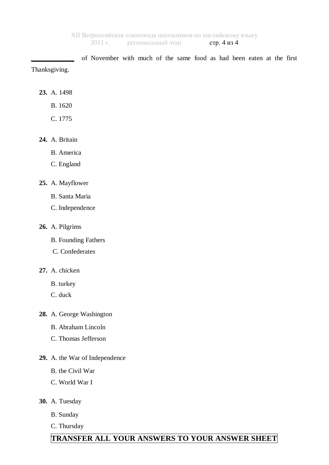*\_\_\_\_\_\_\_\_\_\_\_\_\_* of November with much of the same food as had been eaten at the first Thanksgiving.

- **23.** A. 1498
	- B. 1620
	- C. 1775
- **24.** A. Britain
	- B. America
	- C. England
- **25.** A. Mayflower
	- B. Santa Maria
	- C. Independence
- **26.** A. Pilgrims
	- B. Founding Fathers
	- C. Confederates
- **27.** A. chicken
	- B. turkey
	- C. duck
- **28.** A. George Washington
	- B. Abraham Lincoln
	- C. Thomas Jefferson
- **29.** A. the War of Independence
	- B. the Civil War
	- C. World War I
- **30.** A. Tuesday
	- B. Sunday
	- C. Thursday

# **TRANSFER ALL YOUR ANSWERS TO YOUR ANSWER SHEET**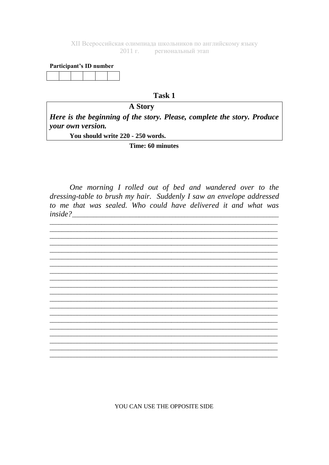XII Всероссийская олимпиада школьников по английскому языку 2011 г. региональный этап

#### Participant's ID number

#### Task 1

### **A Story**

Here is the beginning of the story. Please, complete the story. Produce your own version.

You should write 220 - 250 words.

Time: 60 minutes

One morning I rolled out of bed and wandered over to the dressing-table to brush my hair. Suddenly I saw an envelope addressed to me that was sealed. Who could have delivered it and what was *inside?* 



YOU CAN USE THE OPPOSITE SIDE